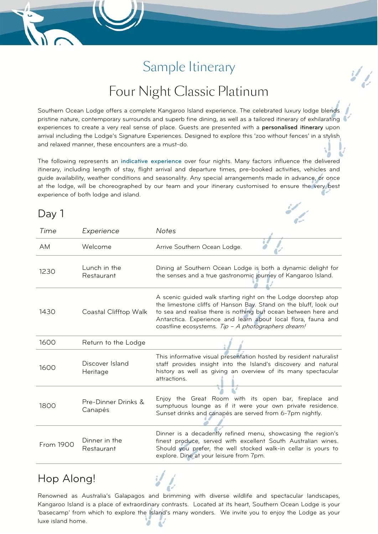# Sample Itinerary

## Four Night Classic Platinum

Southern Ocean Lodge offers a complete Kangaroo Island experience. The celebrated luxury lodge blends pristine nature, contemporary surrounds and superb fine dining, as well as a tailored itinerary of exhilarating experiences to create a very real sense of place. Guests are presented with a personalised itinerary upon arrival including the Lodge's Signature Experiences. Designed to explore this 'zoo without fences' in a stylish and relaxed manner, these encounters are a must-do.

The following represents an indicative experience over four nights. Many factors influence the delivered itinerary, including length of stay, flight arrival and departure times, pre-booked activities, vehicles and guide availability, weather conditions and seasonality. Any special arrangements made in advance, or once at the lodge, will be choreographed by our team and your itinerary customised to ensure the very best experience of both lodge and island.

#### Day 1

| Time      | Experience                     | <b>Notes</b>                                                                                                                                                                                                                                                                                                                |
|-----------|--------------------------------|-----------------------------------------------------------------------------------------------------------------------------------------------------------------------------------------------------------------------------------------------------------------------------------------------------------------------------|
| AM        | Welcome                        | Arrive Southern Ocean Lodge.                                                                                                                                                                                                                                                                                                |
| 1230      | Lunch in the<br>Restaurant     | Dining at Southern Ocean Lodge is both a dynamic delight for<br>the senses and a true gastronomic journey of Kangaroo Island.                                                                                                                                                                                               |
| 1430      | Coastal Clifftop Walk          | A scenic guided walk starting right on the Lodge doorstep atop<br>the limestone cliffs of Hanson Bay. Stand on the bluff, look out<br>to sea and realise there is nothing but ocean between here and<br>Antarctica. Experience and learn about local flora, fauna and<br>coastline ecosystems. Tip - A photographers dream! |
| 1600      | Return to the Lodge            |                                                                                                                                                                                                                                                                                                                             |
| 1600      | Discover Island<br>Heritage    | This informative visual presentation hosted by resident naturalist<br>staff provides insight into the Island's discovery and natural<br>history as well as giving an overview of its many spectacular<br>attractions.                                                                                                       |
| 1800      | Pre-Dinner Drinks &<br>Canapés | Enjoy the Great Room with its open bar, fireplace and<br>sumptuous lounge as if it were your own private residence.<br>Sunset drinks and canapés are served from 6-7pm nightly.                                                                                                                                             |
| From 1900 | Dinner in the<br>Restaurant    | Dinner is a decadently refined menu, showcasing the region's<br>finest produce, served with excellent South Australian wines.<br>Should you prefer, the well stocked walk-in cellar is yours to<br>explore. Dine at your leisure from 7pm.                                                                                  |

#### Hop Along!

Renowned as Australia's Galapagos and brimming with diverse wildlife and spectacular landscapes, Kangaroo Island is a place of extraordinary contrasts. Located at its heart, Southern Ocean Lodge is your 'basecamp' from which to explore the Island's many wonders. We invite you to enjoy the Lodge as your luxe island home.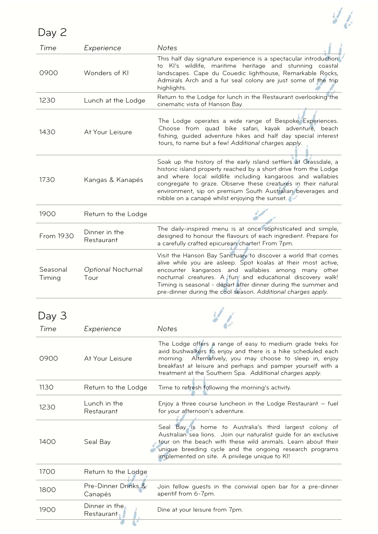|--|--|

| <b>レロッ ニ</b>       |                                |                                                                                                                                                                                                                                                                                                                                                                                      |
|--------------------|--------------------------------|--------------------------------------------------------------------------------------------------------------------------------------------------------------------------------------------------------------------------------------------------------------------------------------------------------------------------------------------------------------------------------------|
| Time               | Experience                     | <b>Notes</b><br>This half day signature experience is a spectacular introduction                                                                                                                                                                                                                                                                                                     |
| 0900               | Wonders of KI                  | to KI's wildlife, maritime heritage and stunning coastal<br>landscapes. Cape du Couedic lighthouse, Remarkable Rocks,<br>Admirals Arch and a fur seal colony are just some of the trip<br>highlights.                                                                                                                                                                                |
| 1230               | Lunch at the Lodge             | Return to the Lodge for lunch in the Restaurant overlooking the<br>cinematic vista of Hanson Bay.                                                                                                                                                                                                                                                                                    |
| 1430               | At Your Leisure                | The Lodge operates a wide range of Bespoke Experiences.<br>Choose from quad bike safari, kayak adventure, beach<br>fishing, guided adventure hikes and half day special interest<br>tours, to name but a few! Additional charges apply.                                                                                                                                              |
| 1730               | Kangas & Kanapés               | Soak up the history of the early island settlers at Grassdale, a<br>historic island property reached by a short drive from the Lodge<br>and where local wildlife including kangaroos and wallabies<br>congregate to graze. Observe these creatures in their natural<br>environment, sip on premium South Australian beverages and<br>nibble on a canapé whilst enjoying the sunset.  |
| 1900               | Return to the Lodge            |                                                                                                                                                                                                                                                                                                                                                                                      |
| From 1930          | Dinner in the<br>Restaurant    | The daily-inspired menu is at once sophisticated and simple,<br>designed to honour the flavours of each ingredient. Prepare for<br>a carefully crafted epicurean charter! From 7pm.                                                                                                                                                                                                  |
| Seasonal<br>Timing | Optional Nocturnal<br>Tour     | Visit the Hanson Bay Sanctuary to discover a world that comes<br>alive while you are asleep. Spot koalas at their most active,<br>encounter kangaroos and wallabies among many other<br>nocturnal creatures. A fun and educational discovery walk!<br>Timing is seasonal - depart after dinner during the summer and<br>pre-dinner during the cool season. Additional charges apply. |
|                    |                                |                                                                                                                                                                                                                                                                                                                                                                                      |
| Time               | Experience                     | <b>Notes</b>                                                                                                                                                                                                                                                                                                                                                                         |
| 0900               | At Your Leisure                | The Lodge offers a range of easy to medium grade treks for<br>avid bushwalkers to enjoy and there is a hike scheduled each<br>Alternatively, you may choose to sleep in, enjoy<br>morning.<br>breakfast at leisure and perhaps and pamper yourself with a<br>treatment at the Southern Spa. Additional charges apply.                                                                |
| 1130               | Return to the Lodge            | Time to refresh following the morning's activity.                                                                                                                                                                                                                                                                                                                                    |
| 1230               | Lunch in the<br>Restaurant     | Enjoy a three course luncheon in the Lodge Restaurant - fuel<br>for your afternoon's adventure.                                                                                                                                                                                                                                                                                      |
| 1400               | Seal Bay                       | Seal Bay is home to Australia's third largest colony of<br>Australian sea lions. Join our naturalist guide for an exclusive<br>tour on the beach with these wild animals. Learn about their<br>unique breeding cycle and the ongoing research programs<br>implemented on site. A privilege unique to KI!                                                                             |
| 1700               | Return to the Lodge            |                                                                                                                                                                                                                                                                                                                                                                                      |
| 1800               | Pre-Dinner Drinks &<br>Canapés | Join fellow guests in the convivial open bar for a pre-dinner<br>aperitif from 6-7pm.                                                                                                                                                                                                                                                                                                |
| 1900               | Dinner in the<br>Restaurant    | Dine at your leisure from 7pm.                                                                                                                                                                                                                                                                                                                                                       |
|                    |                                |                                                                                                                                                                                                                                                                                                                                                                                      |

 $\mathcal{U}_{\ell}$